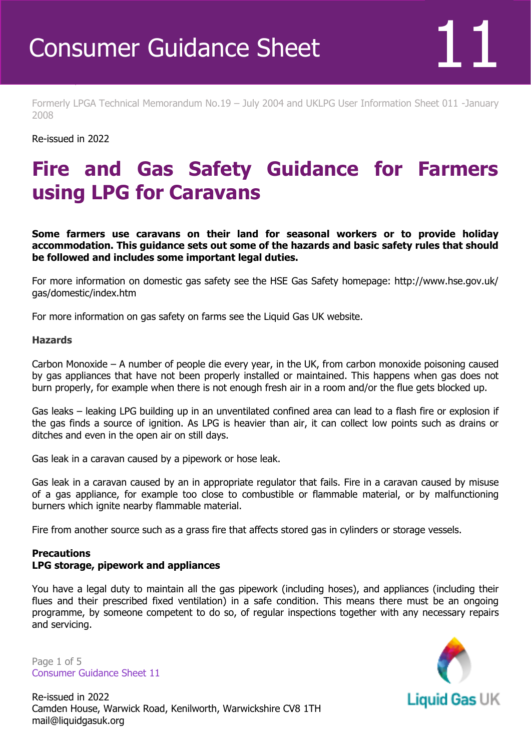Formerly LPGA Technical Memorandum No.19 – July 2004 and UKLPG User Information Sheet 011 -January 2008

Re-issued in 2022

Revised April 2016

## **Fire and Gas Safety Guidance for Farmers using LPG for Caravans**

**Some farmers use caravans on their land for seasonal workers or to provide holiday accommodation. This guidance sets out some of the hazards and basic safety rules that should be followed and includes some important legal duties.** 

For more information on domestic gas safety see the HSE Gas Safety homepage: http://www.hse.gov.uk/ gas/domestic/index.htm

For more information on gas safety on farms see the Liquid Gas UK website.

#### **Hazards**

Carbon Monoxide – A number of people die every year, in the UK, from carbon monoxide poisoning caused by gas appliances that have not been properly installed or maintained. This happens when gas does not burn properly, for example when there is not enough fresh air in a room and/or the flue gets blocked up.

Gas leaks – leaking LPG building up in an unventilated confined area can lead to a flash fire or explosion if the gas finds a source of ignition. As LPG is heavier than air, it can collect low points such as drains or ditches and even in the open air on still days.

Gas leak in a caravan caused by a pipework or hose leak.

Gas leak in a caravan caused by an in appropriate regulator that fails. Fire in a caravan caused by misuse of a gas appliance, for example too close to combustible or flammable material, or by malfunctioning burners which ignite nearby flammable material.

Fire from another source such as a grass fire that affects stored gas in cylinders or storage vessels.

### **Precautions**

#### **LPG storage, pipework and appliances**

You have a legal duty to maintain all the gas pipework (including hoses), and appliances (including their flues and their prescribed fixed ventilation) in a safe condition. This means there must be an ongoing programme, by someone competent to do so, of regular inspections together with any necessary repairs and servicing.

Page 1 of 5 Consumer Guidance Sheet 11



Re-issued in 2022 Camden House, Warwick Road, Kenilworth, Warwickshire CV8 1TH mail@liquidgasuk.org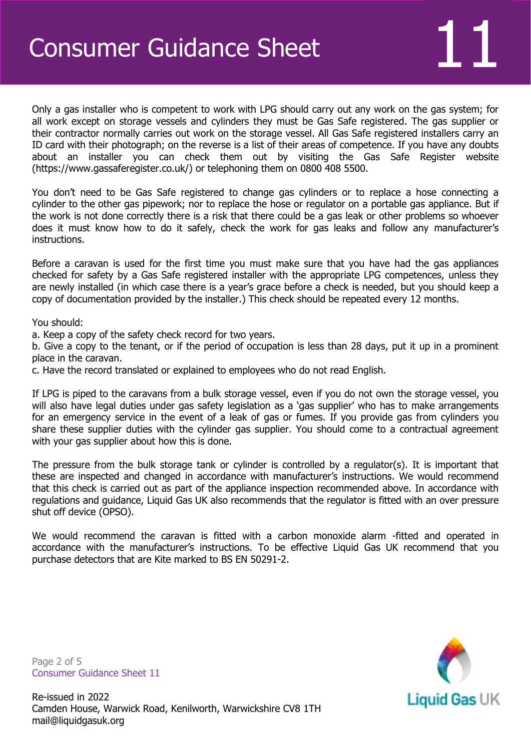Only a gas installer who is competent to work with LPG should carry out any work on the gas system; for all work except on storage vessels and cylinders they must be Gas Safe registered. The gas supplier or their contractor normally carries out work on the storage vessel. All Gas Safe registered installers carry an ID card with their photograph; on the reverse is a list of their areas of competence. If you have any doubts about an installer you can check them out by visiting the Gas Safe Register website (https://www.gassaferegister.co.uk/) or telephoning them on 0800 408 5500.

You don't need to be Gas Safe registered to change gas cylinders or to replace a hose connecting a cylinder to the other gas pipework; nor to replace the hose or regulator on a portable gas appliance. But if the work is not done correctly there is a risk that there could be a gas leak or other problems so whoever does it must know how to do it safely, check the work for gas leaks and follow any manufacturer's instructions.

Before a caravan is used for the first time you must make sure that you have had the gas appliances checked for safety by a Gas Safe registered installer with the appropriate LPG competences, unless they are newly installed (in which case there is a year's grace before a check is needed, but you should keep a copy of documentation provided by the installer.) This check should be repeated every 12 months.

You should:

a. Keep a copy of the safety check record for two years.

b. Give a copy to the tenant, or if the period of occupation is less than 28 days, put it up in a prominent place in the caravan.

c. Have the record translated or explained to employees who do not read English.

If LPG is piped to the caravans from a bulk storage vessel, even if you do not own the storage vessel, you will also have legal duties under gas safety legislation as a 'gas supplier' who has to make arrangements for an emergency service in the event of a leak of gas or fumes. If you provide gas from cylinders you share these supplier duties with the cylinder gas supplier. You should come to a contractual agreement with your gas supplier about how this is done.

The pressure from the bulk storage tank or cylinder is controlled by a regulator(s). It is important that these are inspected and changed in accordance with manufacturer's instructions. We would recommend that this check is carried out as part of the appliance inspection recommended above. In accordance with regulations and guidance, Liquid Gas UK also recommends that the regulator is fitted with an over pressure shut off device (OPSO).

We would recommend the caravan is fitted with a carbon monoxide alarm -fitted and operated in accordance with the manufacturer's instructions. To be effective Liquid Gas UK recommend that you purchase detectors that are Kite marked to BS EN 50291-2.

Page 2 of 5 Consumer Guidance Sheet 11

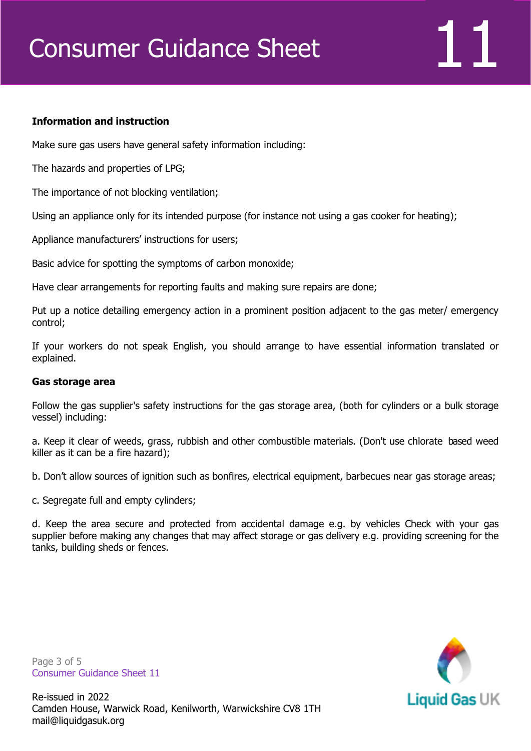# Consumer Guidance Sheet 111

#### **Information and instruction**

Make sure gas users have general safety information including:

The hazards and properties of LPG;

The importance of not blocking ventilation;

Using an appliance only for its intended purpose (for instance not using a gas cooker for heating);

Appliance manufacturers' instructions for users;

Basic advice for spotting the symptoms of carbon monoxide;

Have clear arrangements for reporting faults and making sure repairs are done;

Put up a notice detailing emergency action in a prominent position adjacent to the gas meter/ emergency control;

If your workers do not speak English, you should arrange to have essential information translated or explained.

#### **Gas storage area**

Follow the gas supplier's safety instructions for the gas storage area, (both for cylinders or a bulk storage vessel) including:

a. Keep it clear of weeds, grass, rubbish and other combustible materials. (Don't use chlorate based weed killer as it can be a fire hazard);

b. Don't allow sources of ignition such as bonfires, electrical equipment, barbecues near gas storage areas;

c. Segregate full and empty cylinders;

d. Keep the area secure and protected from accidental damage e.g. by vehicles Check with your gas supplier before making any changes that may affect storage or gas delivery e.g. providing screening for the tanks, building sheds or fences.

Page 3 of 5 Consumer Guidance Sheet 11

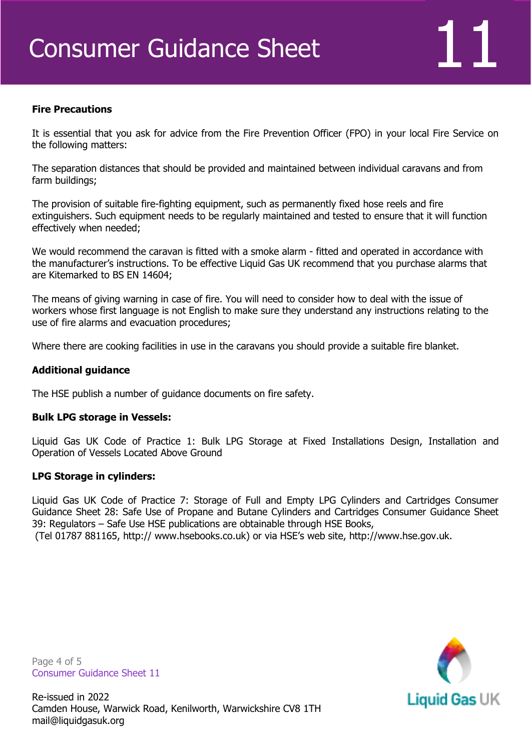#### **Fire Precautions**

It is essential that you ask for advice from the Fire Prevention Officer (FPO) in your local Fire Service on the following matters:

The separation distances that should be provided and maintained between individual caravans and from farm buildings;

The provision of suitable fire-fighting equipment, such as permanently fixed hose reels and fire extinguishers. Such equipment needs to be regularly maintained and tested to ensure that it will function effectively when needed;

We would recommend the caravan is fitted with a smoke alarm - fitted and operated in accordance with the manufacturer's instructions. To be effective Liquid Gas UK recommend that you purchase alarms that are Kitemarked to BS EN 14604;

The means of giving warning in case of fire. You will need to consider how to deal with the issue of workers whose first language is not English to make sure they understand any instructions relating to the use of fire alarms and evacuation procedures;

Where there are cooking facilities in use in the caravans you should provide a suitable fire blanket.

#### **Additional guidance**

The HSE publish a number of guidance documents on fire safety.

#### **Bulk LPG storage in Vessels:**

Liquid Gas UK Code of Practice 1: Bulk LPG Storage at Fixed Installations Design, Installation and Operation of Vessels Located Above Ground

#### **LPG Storage in cylinders:**

Liquid Gas UK Code of Practice 7: Storage of Full and Empty LPG Cylinders and Cartridges Consumer Guidance Sheet 28: Safe Use of Propane and Butane Cylinders and Cartridges Consumer Guidance Sheet 39: Regulators – Safe Use HSE publications are obtainable through HSE Books,

(Tel 01787 881165, http:// www.hsebooks.co.uk) or via HSE's web site, http://www.hse.gov.uk.

Page 4 of 5 Consumer Guidance Sheet 11